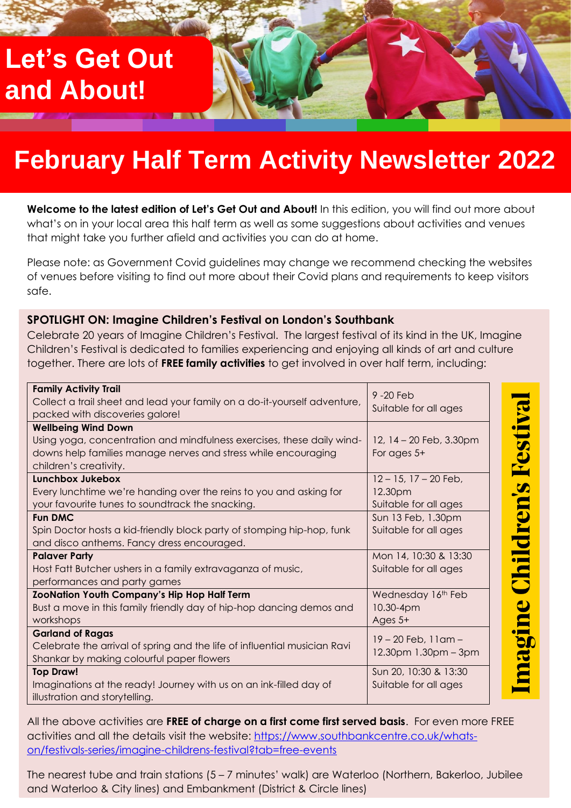# **Let's Get Out and About!**

# **February Half Term Activity Newsletter 2022**

**Welcome to the latest edition of Let's Get Out and About!** In this edition, you will find out more about what's on in your local area this half term as well as some suggestions about activities and venues that might take you further afield and activities you can do at home.

Please note: as Government Covid guidelines may change we recommend checking the websites of venues before visiting to find out more about their Covid plans and requirements to keep visitors safe.

#### **SPOTLIGHT ON: Imagine Children's Festival on London's Southbank**

Celebrate 20 years of Imagine Children's Festival. The largest festival of its kind in the UK, Imagine Children's Festival is dedicated to families experiencing and enjoying all kinds of art and culture together. There are lots of **FREE family activities** to get involved in over half term, including:

| <b>Family Activity Trail</b>                                              | 9-20 Feb                     |
|---------------------------------------------------------------------------|------------------------------|
| Collect a trail sheet and lead your family on a do-it-yourself adventure, | Suitable for all ages        |
| packed with discoveries galore!                                           |                              |
| <b>Wellbeing Wind Down</b>                                                |                              |
| Using yoga, concentration and mindfulness exercises, these daily wind-    | 12, 14 - 20 Feb, 3.30pm      |
| downs help families manage nerves and stress while encouraging            | For ages 5+                  |
| children's creativity.                                                    |                              |
| <b>Lunchbox Jukebox</b>                                                   | $12 - 15$ , $17 - 20$ Feb,   |
| Every lunchtime we're handing over the reins to you and asking for        | 12.30pm                      |
| your favourite tunes to soundtrack the snacking.                          | Suitable for all ages        |
| <b>Fun DMC</b>                                                            | Sun 13 Feb, 1.30pm           |
| Spin Doctor hosts a kid-friendly block party of stomping hip-hop, funk    | Suitable for all ages        |
| and disco anthems. Fancy dress encouraged.                                |                              |
| <b>Palaver Party</b>                                                      | Mon 14, 10:30 & 13:30        |
| Host Fatt Butcher ushers in a family extravaganza of music,               | Suitable for all ages        |
| performances and party games                                              |                              |
| <b>ZooNation Youth Company's Hip Hop Half Term</b>                        | Wednesday 16th Feb           |
| Bust a move in this family friendly day of hip-hop dancing demos and      | 10.30-4pm                    |
| workshops                                                                 | Ages $5+$                    |
| <b>Garland of Ragas</b>                                                   | $19 - 20$ Feb, $11$ am $-$   |
| Celebrate the arrival of spring and the life of influential musician Ravi | $12.30$ pm $1.30$ pm $-3$ pm |
| Shankar by making colourful paper flowers                                 |                              |
| <b>Top Draw!</b>                                                          | Sun 20, 10:30 & 13:30        |
| Imaginations at the ready! Journey with us on an ink-filled day of        | Suitable for all ages        |
| illustration and storytelling.                                            |                              |

magine Children's Festiva

All the above activities are **FREE of charge on a first come first served basis**. For even more FREE activities and all the details visit the website: [https://www.southbankcentre.co.uk/whats](https://www.southbankcentre.co.uk/whats-on/festivals-series/imagine-childrens-festival?tab=free-events)[on/festivals-series/imagine-childrens-festival?tab=free-events](https://www.southbankcentre.co.uk/whats-on/festivals-series/imagine-childrens-festival?tab=free-events)

The nearest tube and train stations (5 – 7 minutes' walk) are Waterloo (Northern, Bakerloo, Jubilee and Waterloo & City lines) and Embankment (District & Circle lines)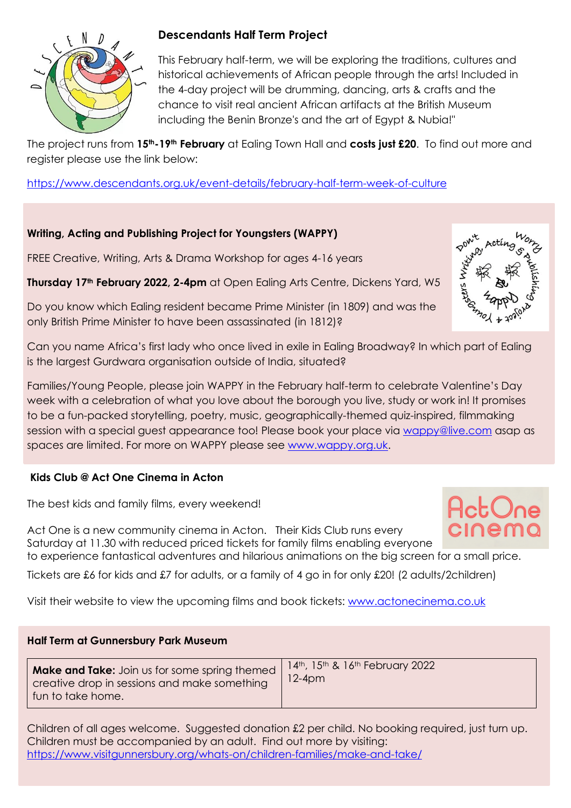

## **Descendants Half Term Project**

This February half-term, we will be exploring the traditions, cultures and historical achievements of African people through the arts! Included in the 4-day project will be drumming, dancing, arts & crafts and the chance to visit real ancient African artifacts at the British Museum including the Benin Bronze's and the art of Egypt & Nubia!"

The project runs from **15th-19th February** at Ealing Town Hall and **costs just £20**. To find out more and register please use the link below:

[https://www.descendants.org.uk/event-details/february-half-term-week-of-culture](https://protect-eu.mimecast.com/s/4_rSClOjXImA49wsGBVRB?domain=descendants.org.uk)

## **Writing, Acting and Publishing Project for Youngsters (WAPPY)**

FREE Creative, Writing, Arts & Drama Workshop for ages 4-16 years

**Thursday 17th February 2022, 2-4pm** at Open Ealing Arts Centre, Dickens Yard, W5

Do you know which Ealing resident became Prime Minister (in 1809) and was the only British Prime Minister to have been assassinated (in 1812)?

Can you name Africa's first lady who once lived in exile in Ealing Broadway? In which part of Ealing is the largest Gurdwara organisation outside of India, situated?

Families/Young People, please join WAPPY in the February half-term to celebrate Valentine's Day week with a celebration of what you love about the borough you live, study or work in! It promises to be a fun-packed storytelling, poetry, music, geographically-themed quiz-inspired, filmmaking session with a special guest appearance too! Please book your place via [wappy@live.com](mailto:wappy@live.com) asap as spaces are limited. For more on WAPPY please see [www.wappy.org.uk.](http://www.wappy.org.uk/)

### **Kids Club @ Act One Cinema in Acton**

The best kids and family films, every weekend!

Act One is a new community cinema in Acton. Their Kids Club runs every Saturday at 11.30 with reduced priced tickets for family films enabling everyone to experience fantastical adventures and hilarious animations on the big screen for a small price.

Tickets are £6 for kids and £7 for adults, or a family of 4 go in for only £20! (2 adults/2children)

Visit their website to view the upcoming films and book tickets: [www.actonecinema.co.uk](http://www.actonecinema.co.uk/) 

### **Half Term at Gunnersbury Park Museum**

| <b>Make and Take:</b> Join us for some spring themed  <br>creative drop in sessions and make something<br>I fun to take home. | 14th, 15th & 16th February 2022<br>$12-4$ pm |
|-------------------------------------------------------------------------------------------------------------------------------|----------------------------------------------|
|-------------------------------------------------------------------------------------------------------------------------------|----------------------------------------------|

Children of all ages welcome. Suggested donation £2 per child. No booking required, just turn up. Children must be accompanied by an adult. Find out more by visiting: <https://www.visitgunnersbury.org/whats-on/children-families/make-and-take/>